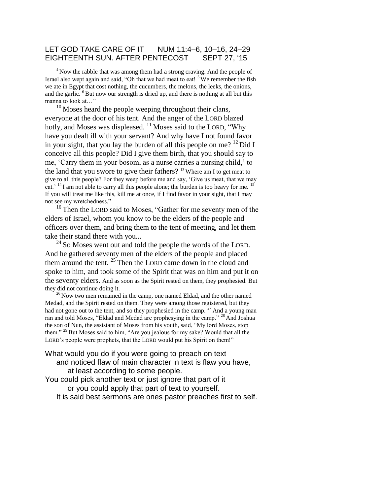#### LET GOD TAKE CARE OF IT NUM 11:4–6, 10–16, 24–29 EIGHTEENTH SUN. AFTER PENTECOST SEPT 27, '15

<sup>4</sup> Now the rabble that was among them had a strong craving. And the people of Israel also wept again and said, "Oh that we had meat to eat!  $5$  We remember the fish we ate in Egypt that cost nothing, the cucumbers, the melons, the leeks, the onions, and the garlic.  ${}^{6}$ But now our strength is dried up, and there is nothing at all but this manna to look at..."

 $10$  Moses heard the people weeping throughout their clans, everyone at the door of his tent. And the anger of the LORD blazed hotly, and Moses was displeased.  $^{11}$  Moses said to the LORD, "Why have you dealt ill with your servant? And why have I not found favor in your sight, that you lay the burden of all this people on me?  $^{12}$  Did I conceive all this people? Did I give them birth, that you should say to me, 'Carry them in your bosom, as a nurse carries a nursing child,' to the land that you swore to give their fathers? <sup>13</sup> Where am I to get meat to give to all this people? For they weep before me and say, 'Give us meat, that we may eat.<sup> $14$ </sup>I am not able to carry all this people alone; the burden is too heavy for me. <sup>15</sup> If you will treat me like this, kill me at once, if I find favor in your sight, that I may not see my wretchedness."

<sup>16</sup>Then the LORD said to Moses, "Gather for me seventy men of the elders of Israel, whom you know to be the elders of the people and officers over them, and bring them to the tent of meeting, and let them take their stand there with you...

 $^{24}$  So Moses went out and told the people the words of the LORD. And he gathered seventy men of the elders of the people and placed them around the tent.  $25$  Then the LORD came down in the cloud and spoke to him, and took some of the Spirit that was on him and put it on the seventy elders. And as soon as the Spirit rested on them, they prophesied. But they did not continue doing it.

 $26$ Now two men remained in the camp, one named Eldad, and the other named Medad, and the Spirit rested on them. They were among those registered, but they had not gone out to the tent, and so they prophesied in the camp.  $27$  And a young man ran and told Moses, "Eldad and Medad are prophesying in the camp." <sup>28</sup> And Joshua the son of Nun, the assistant of Moses from his youth, said, "My lord Moses, stop them." <sup>29</sup> But Moses said to him, "Are you jealous for my sake? Would that all the LORD's people were prophets, that the LORD would put his Spirit on them!"

#### What would you do if you were going to preach on text and noticed flaw of main character in text is flaw you have, at least according to some people.

You could pick another text or just ignore that part of it or you could apply that part of text to yourself. It is said best sermons are ones pastor preaches first to self.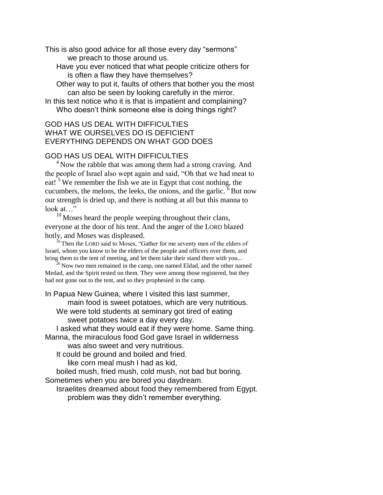This is also good advice for all those every day "sermons" we preach to those around us.

Have you ever noticed that what people criticize others for is often a flaw they have themselves?

Other way to put it, faults of others that bother you the most can also be seen by looking carefully in the mirror.

In this text notice who it is that is impatient and complaining? Who doesn't think someone else is doing things right?

### GOD HAS US DEAL WITH DIFFICULTIES WHAT WE OURSELVES DO IS DEFICIENT EVERYTHING DEPENDS ON WHAT GOD DOES

# GOD HAS US DEAL WITH DIFFICULTIES

<sup>4</sup> Now the rabble that was among them had a strong craving. And the people of Israel also wept again and said, "Oh that we had meat to eat!  $5$  We remember the fish we ate in Egypt that cost nothing, the cucumbers, the melons, the leeks, the onions, and the garlic.  $6$  But now our strength is dried up, and there is nothing at all but this manna to look at..."

 $10$  Moses heard the people weeping throughout their clans, everyone at the door of his tent. And the anger of the LORD blazed hotly, and Moses was displeased.

<sup>16</sup> Then the LORD said to Moses, "Gather for me seventy men of the elders of Israel, whom you know to be the elders of the people and officers over them, and bring them to the tent of meeting, and let them take their stand there with you...

 $^{26}$ Now two men remained in the camp, one named Eldad, and the other named Medad, and the Spirit rested on them. They were among those registered, but they had not gone out to the tent, and so they prophesied in the camp.

In Papua New Guinea, where I visited this last summer,

main food is sweet potatoes, which are very nutritious.

We were told students at seminary got tired of eating sweet potatoes twice a day every day.

I asked what they would eat if they were home. Same thing. Manna, the miraculous food God gave Israel in wilderness

was also sweet and very nutritious.

It could be ground and boiled and fried.

like corn meal mush I had as kid,

boiled mush, fried mush, cold mush, not bad but boring.

Sometimes when you are bored you daydream.

Israelites dreamed about food they remembered from Egypt. problem was they didn't remember everything.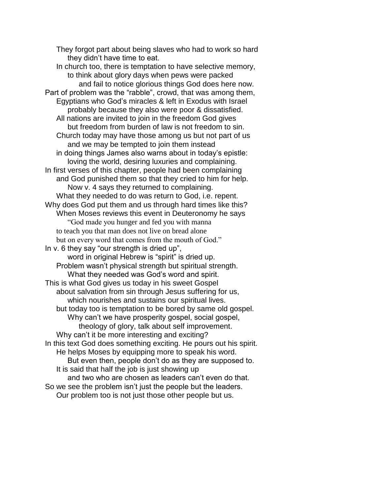They forgot part about being slaves who had to work so hard they didn't have time to eat. In church too, there is temptation to have selective memory, to think about glory days when pews were packed and fail to notice glorious things God does here now. Part of problem was the "rabble", crowd, that was among them, Egyptians who God's miracles & left in Exodus with Israel probably because they also were poor & dissatisfied. All nations are invited to join in the freedom God gives but freedom from burden of law is not freedom to sin. Church today may have those among us but not part of us and we may be tempted to join them instead in doing things James also warns about in today's epistle: loving the world, desiring luxuries and complaining. In first verses of this chapter, people had been complaining and God punished them so that they cried to him for help. Now v. 4 says they returned to complaining. What they needed to do was return to God, i.e. repent. Why does God put them and us through hard times like this? When Moses reviews this event in Deuteronomy he says "God made you hunger and fed you with manna to teach you that man does not live on bread alone but on every word that comes from the mouth of God." In v. 6 they say "our strength is dried up", word in original Hebrew is "spirit" is dried up. Problem wasn't physical strength but spiritual strength. What they needed was God's word and spirit. This is what God gives us today in his sweet Gospel about salvation from sin through Jesus suffering for us, which nourishes and sustains our spiritual lives. but today too is temptation to be bored by same old gospel. Why can't we have prosperity gospel, social gospel, theology of glory, talk about self improvement. Why can't it be more interesting and exciting? In this text God does something exciting. He pours out his spirit. He helps Moses by equipping more to speak his word. But even then, people don't do as they are supposed to. It is said that half the job is just showing up and two who are chosen as leaders can't even do that. So we see the problem isn't just the people but the leaders. Our problem too is not just those other people but us.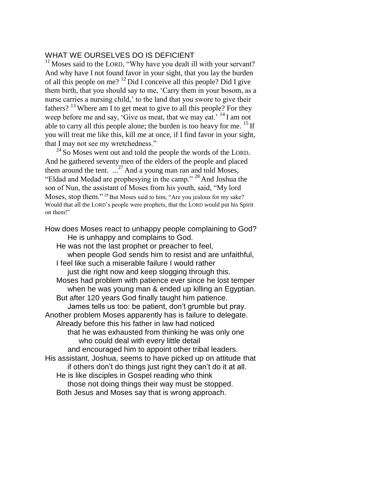### WHAT WE OURSELVES DO IS DEFICIENT

<sup>11</sup> Moses said to the LORD, "Why have you dealt ill with your servant? And why have I not found favor in your sight, that you lay the burden of all this people on me?  $12$  Did I conceive all this people? Did I give them birth, that you should say to me, 'Carry them in your bosom, as a nurse carries a nursing child,' to the land that you swore to give their fathers?  $13$  Where am I to get meat to give to all this people? For they weep before me and say, 'Give us meat, that we may eat.' <sup>14</sup>I am not able to carry all this people alone; the burden is too heavy for me.  $^{15}$  If you will treat me like this, kill me at once, if I find favor in your sight, that I may not see my wretchedness."

 $24$  So Moses went out and told the people the words of the LORD. And he gathered seventy men of the elders of the people and placed them around the tent.  $\ldots$ <sup>27</sup> And a young man ran and told Moses, "Eldad and Medad are prophesying in the camp." <sup>28</sup> And Joshua the son of Nun, the assistant of Moses from his youth, said, "My lord Moses, stop them." <sup>29</sup> But Moses said to him, "Are you jealous for my sake? Would that all the LORD's people were prophets, that the LORD would put his Spirit on them!"

How does Moses react to unhappy people complaining to God? He is unhappy and complains to God. He was not the last prophet or preacher to feel, when people God sends him to resist and are unfaithful, I feel like such a miserable failure I would rather just die right now and keep slogging through this. Moses had problem with patience ever since he lost temper when he was young man & ended up killing an Egyptian. But after 120 years God finally taught him patience. James tells us too: be patient, don't grumble but pray. Another problem Moses apparently has is failure to delegate. Already before this his father in law had noticed that he was exhausted from thinking he was only one who could deal with every little detail and encouraged him to appoint other tribal leaders. His assistant, Joshua, seems to have picked up on attitude that if others don't do things just right they can't do it at all. He is like disciples in Gospel reading who think those not doing things their way must be stopped. Both Jesus and Moses say that is wrong approach.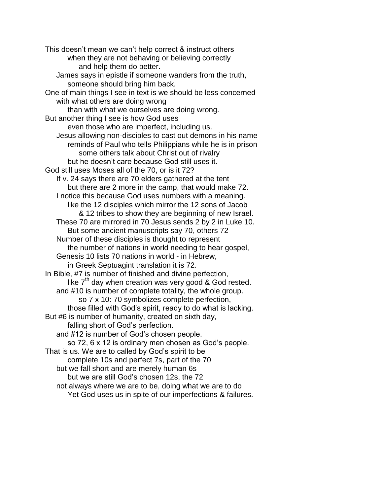This doesn't mean we can't help correct & instruct others when they are not behaving or believing correctly and help them do better. James says in epistle if someone wanders from the truth, someone should bring him back. One of main things I see in text is we should be less concerned with what others are doing wrong than with what we ourselves are doing wrong. But another thing I see is how God uses even those who are imperfect, including us. Jesus allowing non-disciples to cast out demons in his name reminds of Paul who tells Philippians while he is in prison some others talk about Christ out of rivalry but he doesn't care because God still uses it. God still uses Moses all of the 70, or is it 72? If v. 24 says there are 70 elders gathered at the tent but there are 2 more in the camp, that would make 72. I notice this because God uses numbers with a meaning. like the 12 disciples which mirror the 12 sons of Jacob & 12 tribes to show they are beginning of new Israel. These 70 are mirrored in 70 Jesus sends 2 by 2 in Luke 10. But some ancient manuscripts say 70, others 72 Number of these disciples is thought to represent the number of nations in world needing to hear gospel, Genesis 10 lists 70 nations in world - in Hebrew, in Greek Septuagint translation it is 72. In Bible, #7 is number of finished and divine perfection, like  $7<sup>th</sup>$  day when creation was very good & God rested. and #10 is number of complete totality, the whole group. so 7 x 10: 70 symbolizes complete perfection, those filled with God's spirit, ready to do what is lacking. But #6 is number of humanity, created on sixth day, falling short of God's perfection. and #12 is number of God's chosen people. so 72, 6 x 12 is ordinary men chosen as God's people. That is us. We are to called by God's spirit to be complete 10s and perfect 7s, part of the 70 but we fall short and are merely human 6s but we are still God's chosen 12s, the 72 not always where we are to be, doing what we are to do Yet God uses us in spite of our imperfections & failures.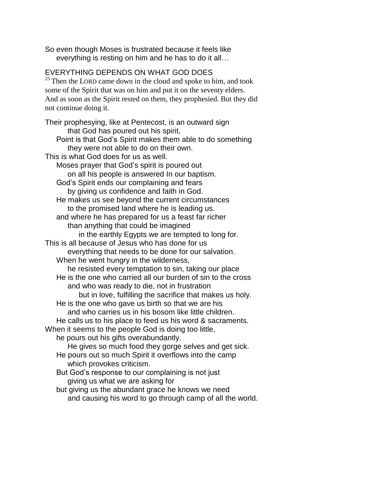So even though Moses is frustrated because it feels like everything is resting on him and he has to do it all…

# EVERYTHING DEPENDS ON WHAT GOD DOES

 $25$  Then the LORD came down in the cloud and spoke to him, and took some of the Spirit that was on him and put it on the seventy elders. And as soon as the Spirit rested on them, they prophesied. But they did not continue doing it.

Their prophesying, like at Pentecost, is an outward sign that God has poured out his spirit, Point is that God's Spirit makes them able to do something they were not able to do on their own. This is what God does for us as well. Moses prayer that God's spirit is poured out on all his people is answered In our baptism. God's Spirit ends our complaining and fears by giving us confidence and faith in God. He makes us see beyond the current circumstances to the promised land where he is leading us. and where he has prepared for us a feast far richer than anything that could be imagined in the earthly Egypts we are tempted to long for. This is all because of Jesus who has done for us everything that needs to be done for our salvation. When he went hungry in the wilderness, he resisted every temptation to sin, taking our place He is the one who carried all our burden of sin to the cross and who was ready to die, not in frustration but in love, fulfilling the sacrifice that makes us holy. He is the one who gave us birth so that we are his and who carries us in his bosom like little children. He calls us to his place to feed us his word & sacraments. When it seems to the people God is doing too little, he pours out his gifts overabundantly. He gives so much food they gorge selves and get sick. He pours out so much Spirit it overflows into the camp which provokes criticism. But God's response to our complaining is not just giving us what we are asking for but giving us the abundant grace he knows we need and causing his word to go through camp of all the world.